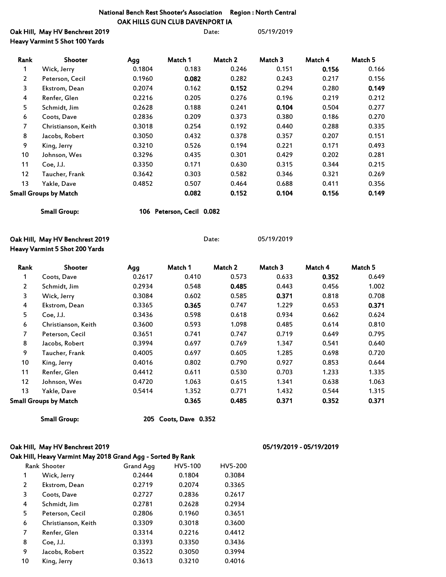### National Bench Rest Shooter's Association Region : North Central OAK HILLS GUN CLUB DAVENPORT IA

| Oak Hill, May HV Benchrest 2019 | Date: | 05/19/2019 |
|---------------------------------|-------|------------|
| Heavy Varmint 5 Shot 100 Yards  |       |            |

| Rank                  | Shooter                      | Agg    | Match 1 | Match 2 | Match 3 | Match 4 | Match 5 |
|-----------------------|------------------------------|--------|---------|---------|---------|---------|---------|
| 1                     | Wick, Jerry                  | 0.1804 | 0.183   | 0.246   | 0.151   | 0.156   | 0.166   |
| $\mathbf{2}^{\prime}$ | Peterson, Cecil              | 0.1960 | 0.082   | 0.282   | 0.243   | 0.217   | 0.156   |
| 3                     | Ekstrom, Dean                | 0.2074 | 0.162   | 0.152   | 0.294   | 0.280   | 0.149   |
| 4                     | Renfer, Glen                 | 0.2216 | 0.205   | 0.276   | 0.196   | 0.219   | 0.212   |
| 5                     | Schmidt, Jim                 | 0.2628 | 0.188   | 0.241   | 0.104   | 0.504   | 0.277   |
| 6                     | Coots, Dave                  | 0.2836 | 0.209   | 0.373   | 0.380   | 0.186   | 0.270   |
| 7                     | Christianson, Keith          | 0.3018 | 0.254   | 0.192   | 0.440   | 0.288   | 0.335   |
| 8                     | Jacobs, Robert               | 0.3050 | 0.432   | 0.378   | 0.357   | 0.207   | 0.151   |
| 9                     | King, Jerry                  | 0.3210 | 0.526   | 0.194   | 0.221   | 0.171   | 0.493   |
| 10                    | Johnson, Wes                 | 0.3296 | 0.435   | 0.301   | 0.429   | 0.202   | 0.281   |
| 11                    | Coe, J.J.                    | 0.3350 | 0.171   | 0.630   | 0.315   | 0.344   | 0.215   |
| $12 \overline{ }$     | Taucher, Frank               | 0.3642 | 0.303   | 0.582   | 0.346   | 0.321   | 0.269   |
| 13                    | Yakle, Dave                  | 0.4852 | 0.507   | 0.464   | 0.688   | 0.411   | 0.356   |
|                       | <b>Small Groups by Match</b> |        | 0.082   | 0.152   | 0.104   | 0.156   | 0.149   |

Small Group: 106 Peterson, Cecil 0.082

Oak Hill, May HV Benchrest 2019 **Date:** 05/19/2019 Heavy Varmint 5 Shot 200 Yards

Rank Shooter Agg Match 1 Match 2 Match 3 Match 4 Match 5 Coots, Dave 0.2617 0.410 0.573 0.633 0.352 0.649 Schmidt, Jim 0.2934 0.548 0.485 0.443 0.456 1.002 Wick, Jerry 0.3084 0.602 0.585 0.371 0.818 0.708 Ekstrom, Dean 0.3365 0.365 0.747 1.229 0.653 0.371 Coe, J.J. 0.3436 0.598 0.618 0.934 0.662 0.624 Christianson, Keith 0.3600 0.593 1.098 0.485 0.614 0.810 Peterson, Cecil 0.3651 0.741 0.747 0.719 0.649 0.795 Jacobs, Robert 0.3994 0.697 0.769 1.347 0.541 0.640 Taucher, Frank 0.4005 0.697 0.605 1.285 0.698 0.720 King, Jerry 0.4016 0.802 0.790 0.927 0.853 0.644 Renfer, Glen 0.4412 0.611 0.530 0.703 1.233 1.335 Johnson, Wes 0.4720 1.063 0.615 1.341 0.638 1.063 Yakle, Dave 0.5414 1.352 0.771 1.432 0.544 1.315 Small Groups by Match 0.365 0.485 0.371 0.352 0.371

Small Group: 205 Coots, Dave 0.352

### Oak Hill, May HV Benchrest 2019 05/19/2019 - 05/19/2019

## Oak Hill, Heavy Varmint May 2018 Grand Agg - Sorted By Rank

|    | <b>Rank Shooter</b> | <b>Grand Agg</b> | HV5-100 | HV5-200 |
|----|---------------------|------------------|---------|---------|
| 1  | Wick, Jerry         | 0.2444           | 0.1804  | 0.3084  |
| 2  | Ekstrom, Dean       | 0.2719           | 0.2074  | 0.3365  |
| 3  | Coots, Dave         | 0.2727           | 0.2836  | 0.2617  |
| 4  | Schmidt, Jim        | 0.2781           | 0.2628  | 0.2934  |
| 5  | Peterson, Cecil     | 0.2806           | 0.1960  | 0.3651  |
| 6  | Christianson, Keith | 0.3309           | 0.3018  | 0.3600  |
| 7  | Renfer, Glen        | 0.3314           | 0.2216  | 0.4412  |
| 8  | Coe, J.J.           | 0.3393           | 0.3350  | 0.3436  |
| 9  | Jacobs, Robert      | 0.3522           | 0.3050  | 0.3994  |
| 10 | King, Jerry         | 0.3613           | 0.3210  | 0.4016  |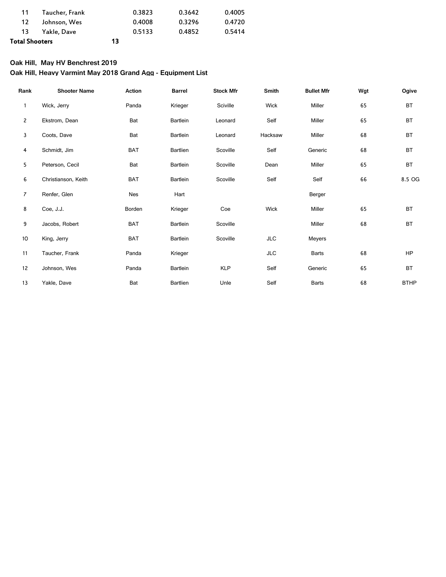| Total Shooters |                | 13 |        |        |        |
|----------------|----------------|----|--------|--------|--------|
|                | 13 Yakle, Dave |    | 0.5133 | 0.4852 | 0.5414 |
| 12.            | Johnson, Wes   |    | 0.4008 | 0.3296 | 0.4720 |
| 11             | Taucher, Frank |    | 0.3823 | 0.3642 | 0.4005 |
|                |                |    |        |        |        |

## **Oak Hill, May HV Benchrest 2019**

# **Oak Hill, Heavy Varmint May 2018 Grand Agg - Equipment List**

| Rank            | <b>Shooter Name</b> | Action     | <b>Barrel</b> | <b>Stock Mfr</b> | Smith      | <b>Bullet Mfr</b> | Wgt | Ogive       |
|-----------------|---------------------|------------|---------------|------------------|------------|-------------------|-----|-------------|
| 1               | Wick, Jerry         | Panda      | Krieger       | Sciville         | Wick       | Miller            | 65  | <b>BT</b>   |
| $\overline{c}$  | Ekstrom, Dean       | Bat        | Bartlein      | Leonard          | Self       | Miller            | 65  | <b>BT</b>   |
| 3               | Coots, Dave         | Bat        | Bartlein      | Leonard          | Hacksaw    | Miller            | 68  | <b>BT</b>   |
| 4               | Schmidt, Jim        | <b>BAT</b> | Bartlien      | Scoville         | Self       | Generic           | 68  | <b>BT</b>   |
| 5               | Peterson, Cecil     | Bat        | Bartlein      | Scoville         | Dean       | Miller            | 65  | <b>BT</b>   |
| 6               | Christianson, Keith | <b>BAT</b> | Bartlein      | Scoville         | Self       | Self              | 66  | 8.5 OG      |
| $\overline{7}$  | Renfer, Glen        | Nes        | Hart          |                  |            | Berger            |     |             |
| 8               | Coe, J.J.           | Borden     | Krieger       | Coe              | Wick       | Miller            | 65  | <b>BT</b>   |
| 9               | Jacobs, Robert      | <b>BAT</b> | Bartlein      | Scoville         |            | Miller            | 68  | <b>BT</b>   |
| 10 <sup>°</sup> | King, Jerry         | <b>BAT</b> | Bartlein      | Scoville         | JLC        | Meyers            |     |             |
| 11              | Taucher, Frank      | Panda      | Krieger       |                  | <b>JLC</b> | <b>Barts</b>      | 68  | <b>HP</b>   |
| 12              | Johnson, Wes        | Panda      | Bartlein      | <b>KLP</b>       | Self       | Generic           | 65  | <b>BT</b>   |
| 13              | Yakle, Dave         | Bat        | Bartlien      | Unle             | Self       | <b>Barts</b>      | 68  | <b>BTHP</b> |